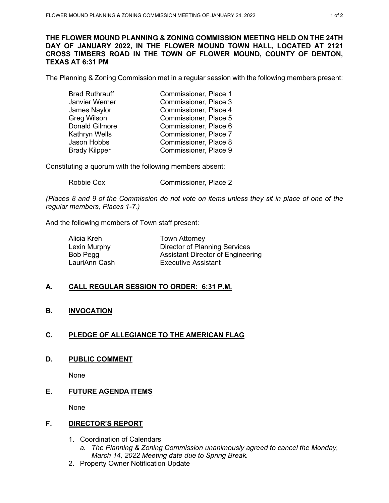#### **THE FLOWER MOUND PLANNING & ZONING COMMISSION MEETING HELD ON THE 24TH DAY OF JANUARY 2022, IN THE FLOWER MOUND TOWN HALL, LOCATED AT 2121 CROSS TIMBERS ROAD IN THE TOWN OF FLOWER MOUND, COUNTY OF DENTON, TEXAS AT 6:31 PM**

The Planning & Zoning Commission met in a regular session with the following members present:

| <b>Brad Ruthrauff</b> | Commissioner, Place 1 |
|-----------------------|-----------------------|
| Janvier Werner        | Commissioner, Place 3 |
| James Naylor          | Commissioner, Place 4 |
| <b>Greg Wilson</b>    | Commissioner, Place 5 |
| <b>Donald Gilmore</b> | Commissioner, Place 6 |
| Kathryn Wells         | Commissioner, Place 7 |
| Jason Hobbs           | Commissioner, Place 8 |
| <b>Brady Kilpper</b>  | Commissioner, Place 9 |

Constituting a quorum with the following members absent:

Robbie Cox Commissioner, Place 2

*(Places 8 and 9 of the Commission do not vote on items unless they sit in place of one of the regular members, Places 1-7.)* 

And the following members of Town staff present:

| <b>Town Attorney</b>              |
|-----------------------------------|
| Director of Planning Services     |
| Assistant Director of Engineering |
| Executive Assistant               |
|                                   |

# **A. CALL REGULAR SESSION TO ORDER: 6:31 P.M.**

## **B. INVOCATION**

# **C. PLEDGE OF ALLEGIANCE TO THE AMERICAN FLAG**

**D. PUBLIC COMMENT**

None

## **E. FUTURE AGENDA ITEMS**

None

### **F. DIRECTOR'S REPORT**

- 1. Coordination of Calendars
	- *a. The Planning & Zoning Commission unanimously agreed to cancel the Monday, March 14, 2022 Meeting date due to Spring Break.*
- 2. Property Owner Notification Update